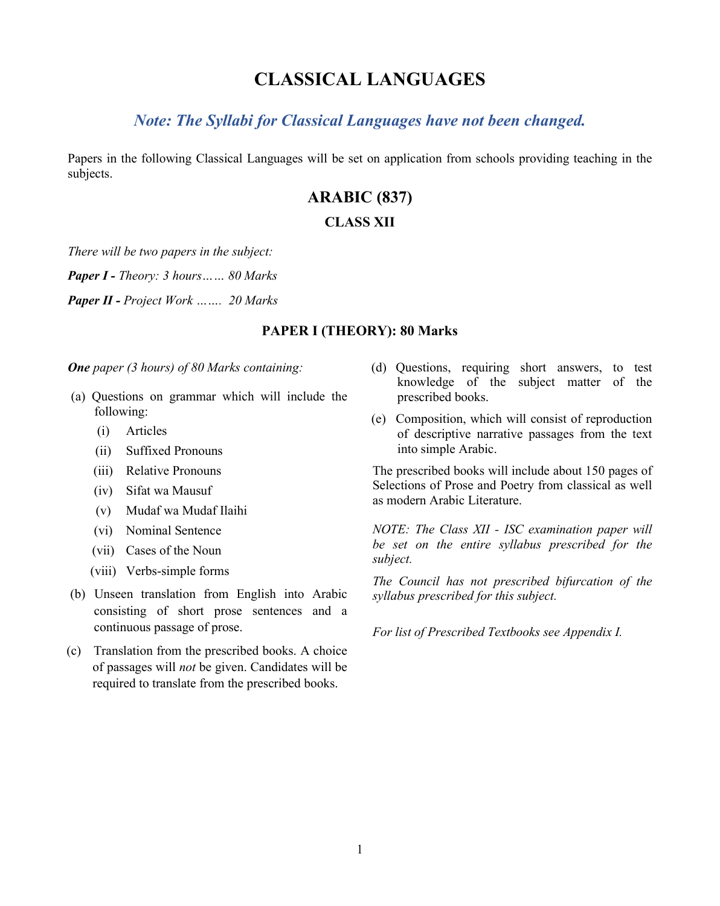# **CLASSICAL LANGUAGES**

# *Note: The Syllabi for Classical Languages have not been changed.*

Papers in the following Classical Languages will be set on application from schools providing teaching in the subjects.

# **ARABIC (837)**

#### **CLASS XII**

*There will be two papers in the subject:*

*Paper I - Theory: 3 hours…… 80 Marks* 

*Paper II - Project Work ……. 20 Marks*

#### **PAPER I (THEORY): 80 Marks**

*One paper (3 hours) of 80 Marks containing:* 

- (a) Questions on grammar which will include the following:
	- (i) Articles
	- (ii) Suffixed Pronouns
	- (iii) Relative Pronouns
	- (iv) Sifat wa Mausuf
	- (v) Mudaf wa Mudaf Ilaihi
	- (vi) Nominal Sentence
	- (vii) Cases of the Noun
	- (viii) Verbs-simple forms
- (b) Unseen translation from English into Arabic consisting of short prose sentences and a continuous passage of prose.
- (c) Translation from the prescribed books. A choice of passages will *not* be given. Candidates will be required to translate from the prescribed books.
- (d) Questions, requiring short answers, to test knowledge of the subject matter of the prescribed books.
- (e) Composition, which will consist of reproduction of descriptive narrative passages from the text into simple Arabic.

The prescribed books will include about 150 pages of Selections of Prose and Poetry from classical as well as modern Arabic Literature.

*NOTE: The Class XII - ISC examination paper will be set on the entire syllabus prescribed for the subject.*

*The Council has not prescribed bifurcation of the syllabus prescribed for this subject.*

*For list of Prescribed Textbooks see Appendix I.*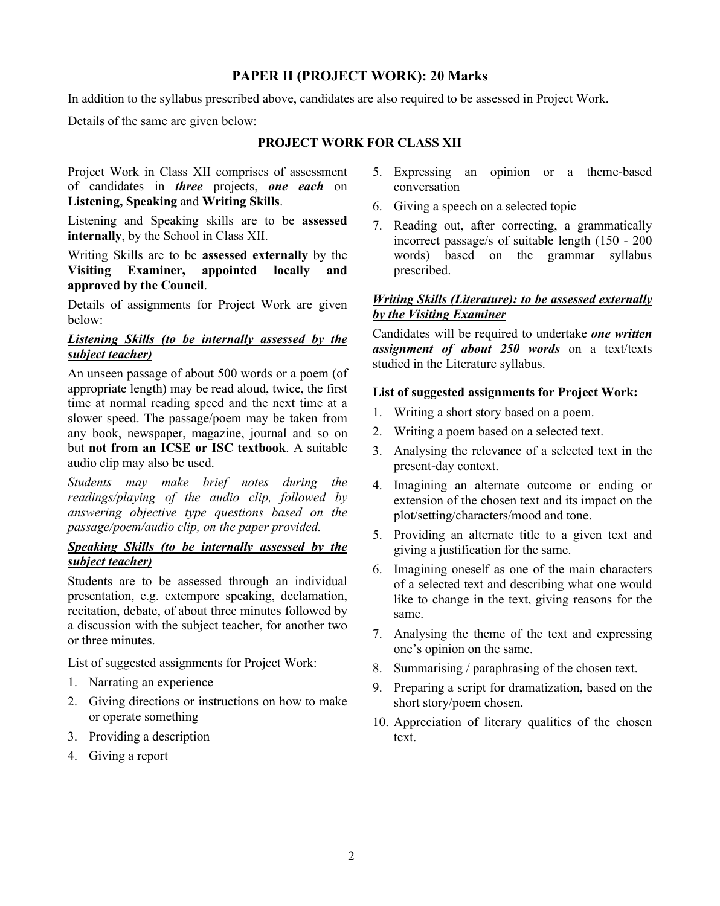# **PAPER II (PROJECT WORK): 20 Marks**

In addition to the syllabus prescribed above, candidates are also required to be assessed in Project Work.

Details of the same are given below:

### **PROJECT WORK FOR CLASS XII**

Project Work in Class XII comprises of assessment of candidates in *three* projects, *one each* on **Listening, Speaking** and **Writing Skills**.

Listening and Speaking skills are to be **assessed internally**, by the School in Class XII.

Writing Skills are to be **assessed externally** by the **Visiting Examiner, appointed locally and approved by the Council**.

Details of assignments for Project Work are given below:

### *Listening Skills (to be internally assessed by the subject teacher)*

An unseen passage of about 500 words or a poem (of appropriate length) may be read aloud, twice, the first time at normal reading speed and the next time at a slower speed. The passage/poem may be taken from any book, newspaper, magazine, journal and so on but **not from an ICSE or ISC textbook**. A suitable audio clip may also be used.

*Students may make brief notes during the readings/playing of the audio clip, followed by answering objective type questions based on the passage/poem/audio clip, on the paper provided.*

### *Speaking Skills (to be internally assessed by the subject teacher)*

Students are to be assessed through an individual presentation, e.g. extempore speaking, declamation, recitation, debate, of about three minutes followed by a discussion with the subject teacher, for another two or three minutes.

List of suggested assignments for Project Work:

- 1. Narrating an experience
- 2. Giving directions or instructions on how to make or operate something
- 3. Providing a description
- 4. Giving a report
- 5. Expressing an opinion or a theme-based conversation
- 6. Giving a speech on a selected topic
- 7. Reading out, after correcting, a grammatically incorrect passage/s of suitable length (150 - 200 words) based on the grammar syllabus prescribed.

### *Writing Skills (Literature): to be assessed externally by the Visiting Examiner*

Candidates will be required to undertake *one written assignment of about 250 words* on a text/texts studied in the Literature syllabus.

#### **List of suggested assignments for Project Work:**

- 1. Writing a short story based on a poem.
- 2. Writing a poem based on a selected text.
- 3. Analysing the relevance of a selected text in the present-day context.
- 4. Imagining an alternate outcome or ending or extension of the chosen text and its impact on the plot/setting/characters/mood and tone.
- 5. Providing an alternate title to a given text and giving a justification for the same.
- 6. Imagining oneself as one of the main characters of a selected text and describing what one would like to change in the text, giving reasons for the same.
- 7. Analysing the theme of the text and expressing one's opinion on the same.
- 8. Summarising / paraphrasing of the chosen text.
- 9. Preparing a script for dramatization, based on the short story/poem chosen.
- 10. Appreciation of literary qualities of the chosen text.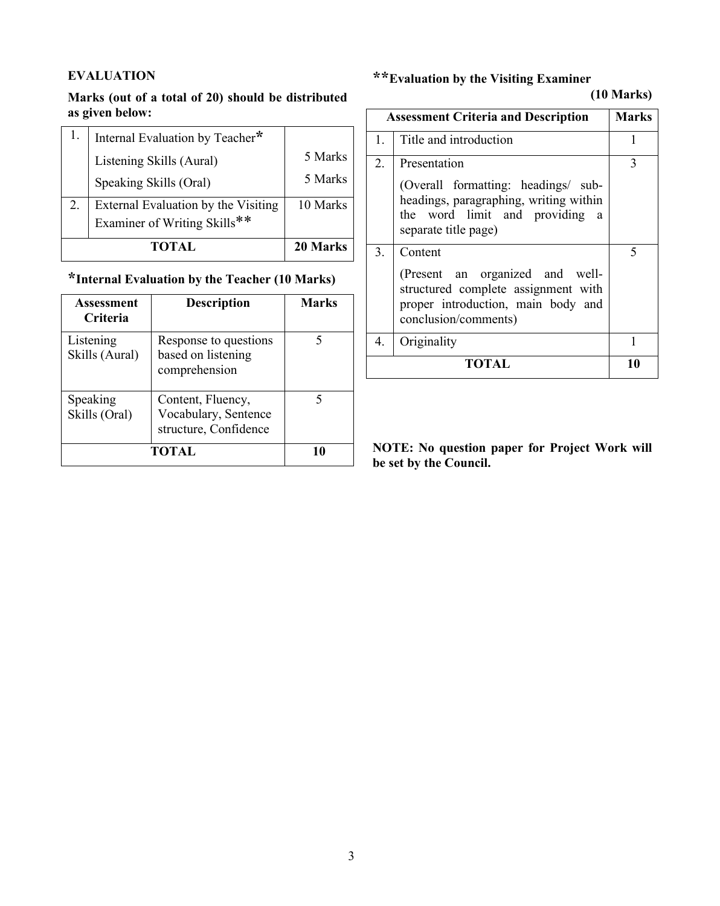# **EVALUATION**

# **Marks (out of a total of 20) should be distributed as given below:**

| <b>TOTAL</b>                        | 20 Marks |
|-------------------------------------|----------|
| Examiner of Writing Skills**        |          |
| External Evaluation by the Visiting | 10 Marks |
| Speaking Skills (Oral)              | 5 Marks  |
| Listening Skills (Aural)            | 5 Marks  |
| Internal Evaluation by Teacher*     |          |

# **\*Internal Evaluation by the Teacher (10 Marks)**

| <b>Assessment</b><br><b>Criteria</b> | <b>Description</b>                                                 | <b>Marks</b> |
|--------------------------------------|--------------------------------------------------------------------|--------------|
| Listening<br>Skills (Aural)          | Response to questions<br>based on listening<br>comprehension       |              |
| Speaking<br>Skills (Oral)            | Content, Fluency,<br>Vocabulary, Sentence<br>structure, Confidence | 5            |
|                                      | TOTAL                                                              |              |

# **\*\*Evaluation by the Visiting Examiner**

# **(10 Marks)**

| <b>Assessment Criteria and Description</b> |                                                                                                                                                         | <b>Marks</b> |
|--------------------------------------------|---------------------------------------------------------------------------------------------------------------------------------------------------------|--------------|
| 1.                                         | Title and introduction                                                                                                                                  |              |
| 2.                                         | Presentation<br>(Overall formatting: headings/ sub-<br>headings, paragraphing, writing within<br>the word limit and providing a<br>separate title page) | 3            |
| 3.                                         | Content<br>(Present an organized and well-<br>structured complete assignment with<br>proper introduction, main body and<br>conclusion/comments)         | 5            |
| 4.                                         | Originality                                                                                                                                             |              |
| TOTAL                                      |                                                                                                                                                         |              |

**NOTE: No question paper for Project Work will be set by the Council.**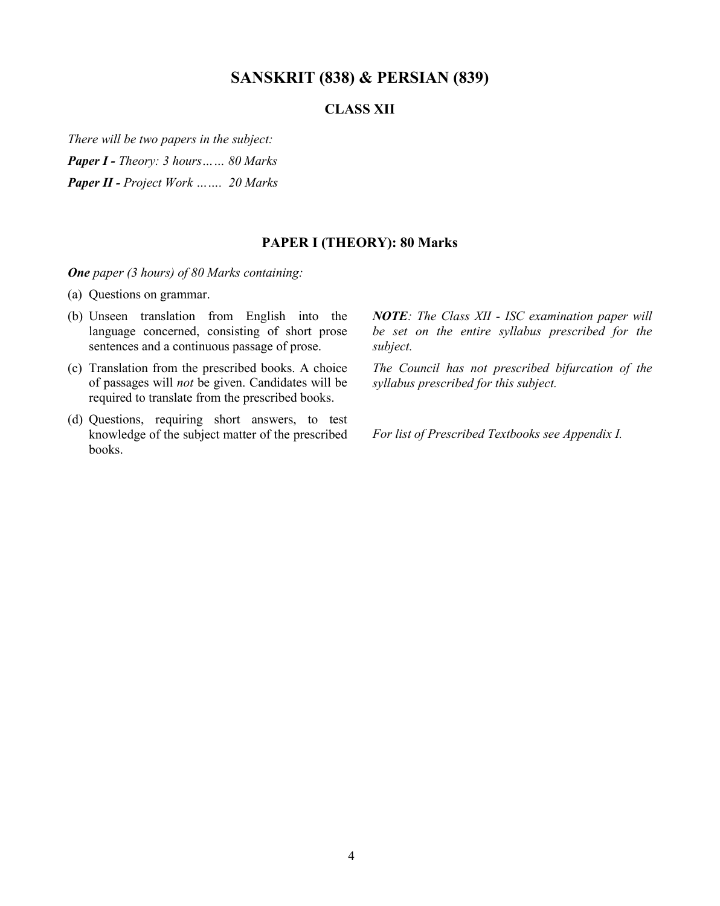# **SANSKRIT (838) & PERSIAN (839)**

# **CLASS XII**

*There will be two papers in the subject:*

*Paper I - Theory: 3 hours…… 80 Marks* 

*Paper II - Project Work ……. 20 Marks*

### **PAPER I (THEORY): 80 Marks**

*One paper (3 hours) of 80 Marks containing:*

- (a) Questions on grammar.
- (b) Unseen translation from English into the language concerned, consisting of short prose sentences and a continuous passage of prose.
- (c) Translation from the prescribed books. A choice of passages will *not* be given. Candidates will be required to translate from the prescribed books.
- (d) Questions, requiring short answers, to test knowledge of the subject matter of the prescribed books.

*NOTE: The Class XII - ISC examination paper will be set on the entire syllabus prescribed for the subject.*

*The Council has not prescribed bifurcation of the syllabus prescribed for this subject.*

*For list of Prescribed Textbooks see Appendix I.*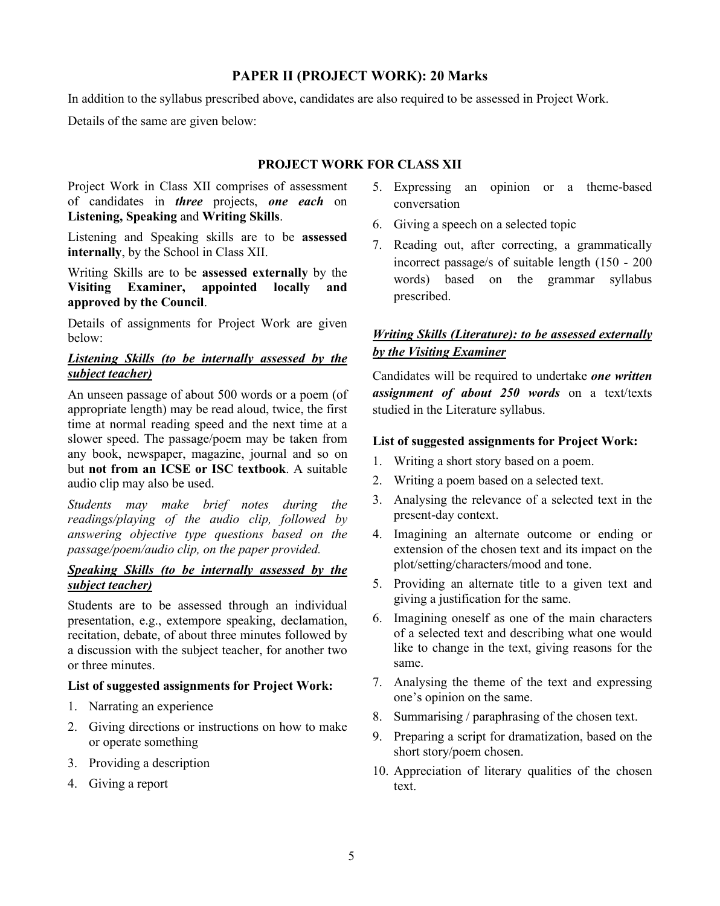### **PAPER II (PROJECT WORK): 20 Marks**

In addition to the syllabus prescribed above, candidates are also required to be assessed in Project Work.

Details of the same are given below:

### **PROJECT WORK FOR CLASS XII**

Project Work in Class XII comprises of assessment of candidates in *three* projects, *one each* on **Listening, Speaking** and **Writing Skills**.

Listening and Speaking skills are to be **assessed internally**, by the School in Class XII.

Writing Skills are to be **assessed externally** by the **Visiting Examiner, appointed locally and approved by the Council**.

Details of assignments for Project Work are given below:

#### *Listening Skills (to be internally assessed by the subject teacher)*

An unseen passage of about 500 words or a poem (of appropriate length) may be read aloud, twice, the first time at normal reading speed and the next time at a slower speed. The passage/poem may be taken from any book, newspaper, magazine, journal and so on but **not from an ICSE or ISC textbook**. A suitable audio clip may also be used.

*Students may make brief notes during the readings/playing of the audio clip, followed by answering objective type questions based on the passage/poem/audio clip, on the paper provided.*

# *Speaking Skills (to be internally assessed by the subject teacher)*

Students are to be assessed through an individual presentation, e.g., extempore speaking, declamation, recitation, debate, of about three minutes followed by a discussion with the subject teacher, for another two or three minutes.

#### **List of suggested assignments for Project Work:**

- 1. Narrating an experience
- 2. Giving directions or instructions on how to make or operate something
- 3. Providing a description
- 4. Giving a report
- 5. Expressing an opinion or a theme-based conversation
- 6. Giving a speech on a selected topic
- 7. Reading out, after correcting, a grammatically incorrect passage/s of suitable length (150 - 200 words) based on the grammar syllabus prescribed.

# *Writing Skills (Literature): to be assessed externally by the Visiting Examiner*

Candidates will be required to undertake *one written assignment of about 250 words* on a text/texts studied in the Literature syllabus.

#### **List of suggested assignments for Project Work:**

- 1. Writing a short story based on a poem.
- 2. Writing a poem based on a selected text.
- 3. Analysing the relevance of a selected text in the present-day context.
- 4. Imagining an alternate outcome or ending or extension of the chosen text and its impact on the plot/setting/characters/mood and tone.
- 5. Providing an alternate title to a given text and giving a justification for the same.
- 6. Imagining oneself as one of the main characters of a selected text and describing what one would like to change in the text, giving reasons for the same.
- 7. Analysing the theme of the text and expressing one's opinion on the same.
- 8. Summarising / paraphrasing of the chosen text.
- 9. Preparing a script for dramatization, based on the short story/poem chosen.
- 10. Appreciation of literary qualities of the chosen text.